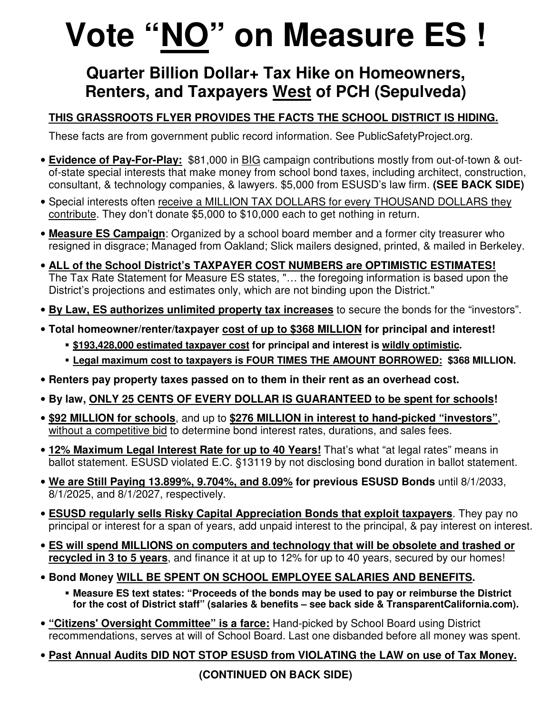## **Vote "NO" on Measure ES !**

## **Quarter Billion Dollar+ Tax Hike on Homeowners, Renters, and Taxpayers West of PCH (Sepulveda)**

## **THIS GRASSROOTS FLYER PROVIDES THE FACTS THE SCHOOL DISTRICT IS HIDING.**

These facts are from government public record information. See PublicSafetyProject.org.

- **Evidence of Pay-For-Play:** \$81,000 in BIG campaign contributions mostly from out-of-town & outof-state special interests that make money from school bond taxes, including architect, construction, consultant, & technology companies, & lawyers. \$5,000 from ESUSD's law firm. **(SEE BACK SIDE)**
- Special interests often receive a MILLION TAX DOLLARS for every THOUSAND DOLLARS they contribute. They don't donate \$5,000 to \$10,000 each to get nothing in return.
- **Measure ES Campaign**: Organized by a school board member and a former city treasurer who resigned in disgrace; Managed from Oakland; Slick mailers designed, printed, & mailed in Berkeley.
- **ALL of the School District's TAXPAYER COST NUMBERS are OPTIMISTIC ESTIMATES!** The Tax Rate Statement for Measure ES states, "… the foregoing information is based upon the District's projections and estimates only, which are not binding upon the District."
- **By Law, ES authorizes unlimited property tax increases** to secure the bonds for the "investors".
- **Total homeowner/renter/taxpayer cost of up to \$368 MILLION for principal and interest!** 
	- **\$193,428,000 estimated taxpayer cost for principal and interest is wildly optimistic.**
	- **Legal maximum cost to taxpayers is FOUR TIMES THE AMOUNT BORROWED: \$368 MILLION.**
- **Renters pay property taxes passed on to them in their rent as an overhead cost.**
- **By law, ONLY 25 CENTS OF EVERY DOLLAR IS GUARANTEED to be spent for schools!**
- **\$92 MILLION for schools**, and up to **\$276 MILLION in interest to hand-picked "investors"**, without a competitive bid to determine bond interest rates, durations, and sales fees.
- **12% Maximum Legal Interest Rate for up to 40 Years!** That's what "at legal rates" means in ballot statement. ESUSD violated E.C. §13119 by not disclosing bond duration in ballot statement.
- **We are Still Paying 13.899%, 9.704%, and 8.09% for previous ESUSD Bonds** until 8/1/2033, 8/1/2025, and 8/1/2027, respectively.
- **ESUSD regularly sells Risky Capital Appreciation Bonds that exploit taxpayers**. They pay no principal or interest for a span of years, add unpaid interest to the principal, & pay interest on interest.
- **ES will spend MILLIONS on computers and technology that will be obsolete and trashed or recycled in 3 to 5 years**, and finance it at up to 12% for up to 40 years, secured by our homes!
- **Bond Money WILL BE SPENT ON SCHOOL EMPLOYEE SALARIES AND BENEFITS.** 
	- **Measure ES text states: "Proceeds of the bonds may be used to pay or reimburse the District for the cost of District staff" (salaries & benefits – see back side & TransparentCalifornia.com).**
- **"Citizens' Oversight Committee" is a farce:** Hand-picked by School Board using District recommendations, serves at will of School Board. Last one disbanded before all money was spent.
- **Past Annual Audits DID NOT STOP ESUSD from VIOLATING the LAW on use of Tax Money.**